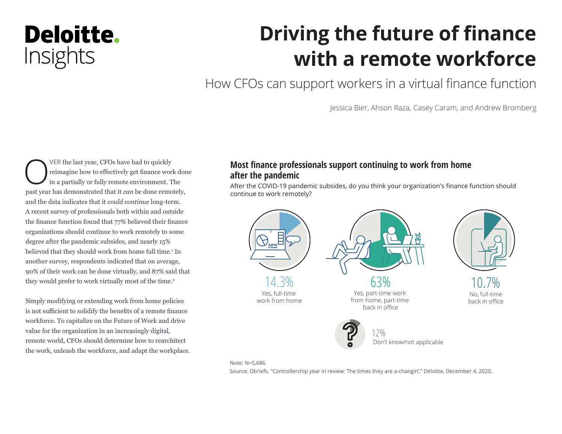## Deloitte. Insights

# **Driving the future of finance with a remote workforce**

How CFOs can support workers in a virtual finance function

Jessica Bier, Ahson Raza, Casey Caram, and Andrew Bromberg

VER the last year, CFOs have had to quickly<br>
in a partially or fully remote environment. The reimagine how to effectively get finance work done past year has demonstrated that it *can* be done remotely, and the data indicates that it *could continue* long-term. A recent survey of professionals both within and outside the finance function found that 77% believed their finance organizations should continue to work remotely to some degree after the pandemic subsides, and nearly 15% believed that they should work from home full time.<sup>1</sup> In another survey, respondents indicated that on average, 90% of their work can be done virtually, and 87% said that they would prefer to work virtually most of the time.<sup>2</sup>

Simply modifying or extending work from home policies is not sufficient to solidify the benefits of a remote finance workforce. To capitalize on the Future of Work and drive value for the organization in an increasingly digital, remote world, CFOs should determine how to rearchitect the work, unleash the workforce, and adapt the workplace.

### **Most finance professionals support continuing to work from home after the pandemic**

After the COVID-19 pandemic subsides, do you think your organization's finance function should continue to work remotely?



Note: N=5,686.

Source: Dbriefs, "Controllership year in review: The times they are a-changin'," Deloitte, December 4, 2020.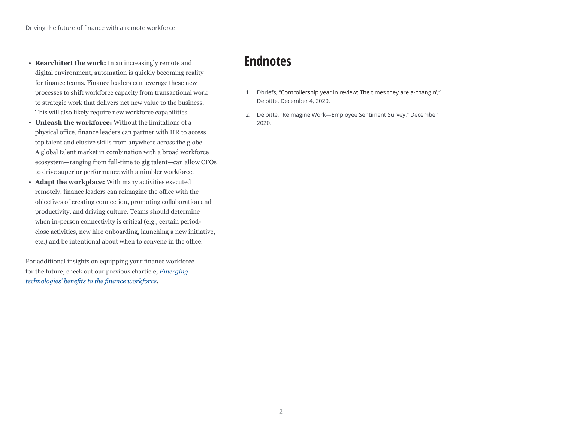- **Rearchitect the work:** In an increasingly remote and digital environment, automation is quickly becoming reality for finance teams. Finance leaders can leverage these new processes to shift workforce capacity from transactional work to strategic work that delivers net new value to the business. This will also likely require new workforce capabilities.
- **Unleash the workforce:** Without the limitations of a physical office, finance leaders can partner with HR to access top talent and elusive skills from anywhere across the globe. A global talent market in combination with a broad workforce ecosystem—ranging from full-time to gig talent—can allow CFOs to drive superior performance with a nimbler workforce.
- **Adapt the workplace:** With many activities executed remotely, finance leaders can reimagine the office with the objectives of creating connection, promoting collaboration and productivity, and driving culture. Teams should determine when in-person connectivity is critical (e.g., certain periodclose activities, new hire onboarding, launching a new initiative, etc.) and be intentional about when to convene in the office.

For additional insights on equipping your finance workforce for the future, check out our previous charticle, *[Emerging](https://www2.deloitte.com/us/en/insights/topics/strategy/technology-benefits-finance-organization.html?id=us:2di:3em:4di6964:5awa:6di:MMDDYY:&pkid=1007377)  [technologies' benefits to the finance workforce](https://www2.deloitte.com/us/en/insights/topics/strategy/technology-benefits-finance-organization.html?id=us:2di:3em:4di6964:5awa:6di:MMDDYY:&pkid=1007377)*.

## **Endnotes**

- 1. Dbriefs, "[Controllership year in review: The times they are a-changin',](https://www2.deloitte.com/us/en/events/financial-executives-dbriefs-webcasts/2020/controllership-year-review.html)" Deloitte, December 4, 2020.
- 2. Deloitte, "Reimagine Work—Employee Sentiment Survey," December 2020.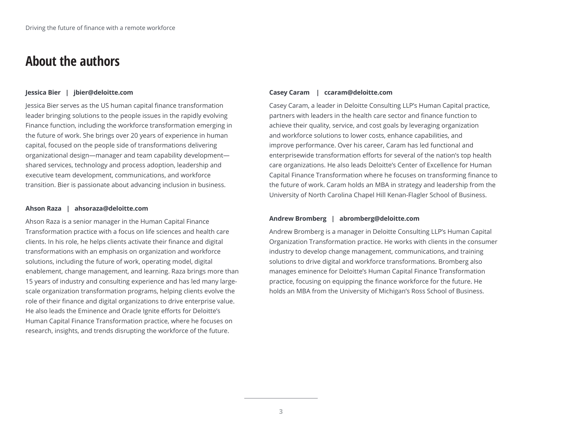## **About the authors**

#### **Jessica Bier | jbier@deloitte.com**

Jessica Bier serves as the US human capital finance transformation leader bringing solutions to the people issues in the rapidly evolving Finance function, including the workforce transformation emerging in the future of work. She brings over 20 years of experience in human capital, focused on the people side of transformations delivering organizational design—manager and team capability development shared services, technology and process adoption, leadership and executive team development, communications, and workforce transition. Bier is passionate about advancing inclusion in business.

#### **Ahson Raza | ahsoraza@deloitte.com**

Ahson Raza is a senior manager in the Human Capital Finance Transformation practice with a focus on life sciences and health care clients. In his role, he helps clients activate their finance and digital transformations with an emphasis on organization and workforce solutions, including the future of work, operating model, digital enablement, change management, and learning. Raza brings more than 15 years of industry and consulting experience and has led many largescale organization transformation programs, helping clients evolve the role of their finance and digital organizations to drive enterprise value. He also leads the Eminence and Oracle Ignite efforts for Deloitte's Human Capital Finance Transformation practice, where he focuses on research, insights, and trends disrupting the workforce of the future.

#### **Casey Caram | ccaram@deloitte.com**

Casey Caram, a leader in Deloitte Consulting LLP's Human Capital practice, partners with leaders in the health care sector and finance function to achieve their quality, service, and cost goals by leveraging organization and workforce solutions to lower costs, enhance capabilities, and improve performance. Over his career, Caram has led functional and enterprisewide transformation efforts for several of the nation's top health care organizations. He also leads Deloitte's Center of Excellence for Human Capital Finance Transformation where he focuses on transforming finance to the future of work. Caram holds an MBA in strategy and leadership from the University of North Carolina Chapel Hill Kenan-Flagler School of Business.

#### **Andrew Bromberg | abromberg@deloitte.com**

Andrew Bromberg is a manager in Deloitte Consulting LLP's Human Capital Organization Transformation practice. He works with clients in the consumer industry to develop change management, communications, and training solutions to drive digital and workforce transformations. Bromberg also manages eminence for Deloitte's Human Capital Finance Transformation practice, focusing on equipping the finance workforce for the future. He holds an MBA from the University of Michigan's Ross School of Business.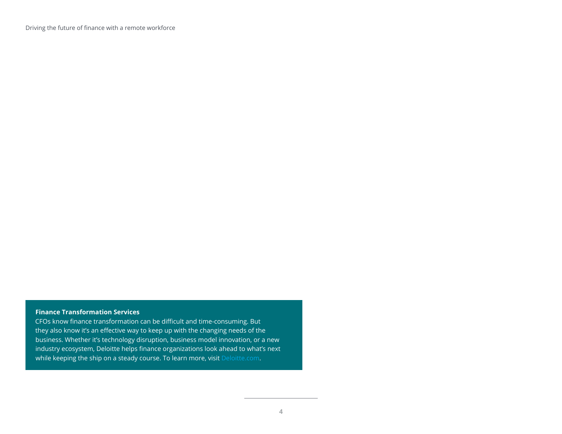Driving the future of finance with a remote workforce

### **Finance Transformation Services**

CFOs know finance transformation can be difficult and time-consuming. But they also know it's an effective way to keep up with the changing needs of the business. Whether it's technology disruption, business model innovation, or a new industry ecosystem, Deloitte helps finance organizations look ahead to what's next while keeping the ship on a steady course. To learn more, visit [Deloitte.com.](https://www2.deloitte.com/us/en/pages/finance-transformation/solutions/finance-transformation-services-offerings.html)